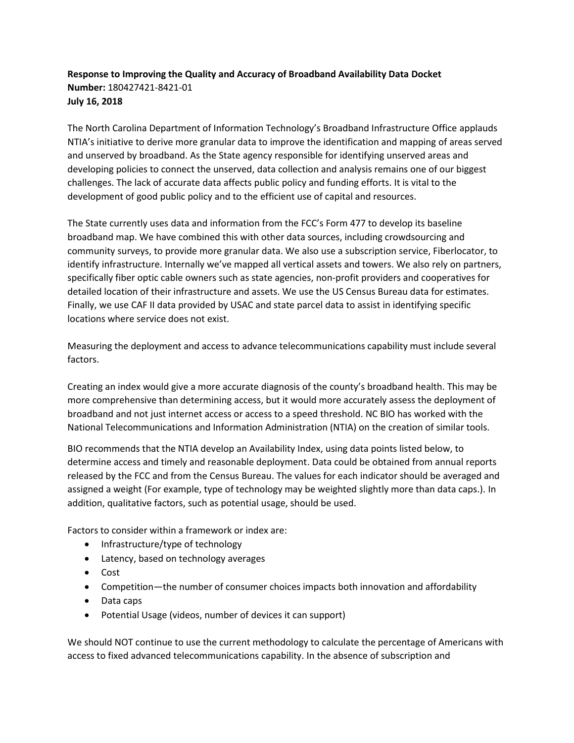## **Response to Improving the Quality and Accuracy of Broadband Availability Data Docket Number:** 180427421-8421-01 **July 16, 2018**

The North Carolina Department of Information Technology's Broadband Infrastructure Office applauds NTIA's initiative to derive more granular data to improve the identification and mapping of areas served and unserved by broadband. As the State agency responsible for identifying unserved areas and developing policies to connect the unserved, data collection and analysis remains one of our biggest challenges. The lack of accurate data affects public policy and funding efforts. It is vital to the development of good public policy and to the efficient use of capital and resources.

The State currently uses data and information from the FCC's Form 477 to develop its baseline broadband map. We have combined this with other data sources, including crowdsourcing and community surveys, to provide more granular data. We also use a subscription service, Fiberlocator, to identify infrastructure. Internally we've mapped all vertical assets and towers. We also rely on partners, specifically fiber optic cable owners such as state agencies, non-profit providers and cooperatives for detailed location of their infrastructure and assets. We use the US Census Bureau data for estimates. Finally, we use CAF II data provided by USAC and state parcel data to assist in identifying specific locations where service does not exist.

Measuring the deployment and access to advance telecommunications capability must include several factors.

Creating an index would give a more accurate diagnosis of the county's broadband health. This may be more comprehensive than determining access, but it would more accurately assess the deployment of broadband and not just internet access or access to a speed threshold. NC BIO has worked with the National Telecommunications and Information Administration (NTIA) on the creation of similar tools.

BIO recommends that the NTIA develop an Availability Index, using data points listed below, to determine access and timely and reasonable deployment. Data could be obtained from annual reports released by the FCC and from the Census Bureau. The values for each indicator should be averaged and assigned a weight (For example, type of technology may be weighted slightly more than data caps.). In addition, qualitative factors, such as potential usage, should be used.

Factors to consider within a framework or index are:

- Infrastructure/type of technology
- Latency, based on technology averages
- Cost
- Competition—the number of consumer choices impacts both innovation and affordability
- Data caps
- Potential Usage (videos, number of devices it can support)

We should NOT continue to use the current methodology to calculate the percentage of Americans with access to fixed advanced telecommunications capability. In the absence of subscription and